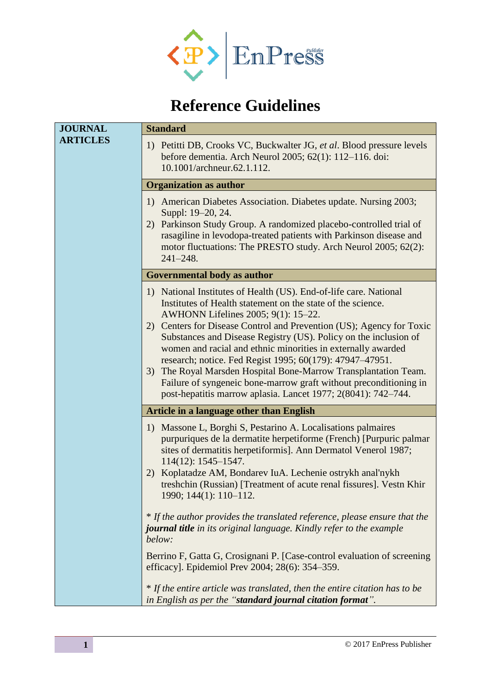

## <span id="page-0-0"></span>**Reference Guidelines**

| <b>JOURNAL</b>  | <b>Standard</b>                                                                                                                                                                                                                                                                                                                                                                                                                                                                                                                                                                                                                                             |
|-----------------|-------------------------------------------------------------------------------------------------------------------------------------------------------------------------------------------------------------------------------------------------------------------------------------------------------------------------------------------------------------------------------------------------------------------------------------------------------------------------------------------------------------------------------------------------------------------------------------------------------------------------------------------------------------|
| <b>ARTICLES</b> | 1) Petitti DB, Crooks VC, Buckwalter JG, et al. Blood pressure levels<br>before dementia. Arch Neurol 2005; 62(1): 112-116. doi:<br>10.1001/archneur.62.1.112.                                                                                                                                                                                                                                                                                                                                                                                                                                                                                              |
|                 | <b>Organization as author</b>                                                                                                                                                                                                                                                                                                                                                                                                                                                                                                                                                                                                                               |
|                 | 1) American Diabetes Association. Diabetes update. Nursing 2003;<br>Suppl: 19–20, 24.<br>2) Parkinson Study Group. A randomized placebo-controlled trial of<br>rasagiline in levodopa-treated patients with Parkinson disease and<br>motor fluctuations: The PRESTO study. Arch Neurol 2005; 62(2):<br>$241 - 248.$                                                                                                                                                                                                                                                                                                                                         |
|                 | Governmental body as author                                                                                                                                                                                                                                                                                                                                                                                                                                                                                                                                                                                                                                 |
|                 | 1) National Institutes of Health (US). End-of-life care. National<br>Institutes of Health statement on the state of the science.<br>AWHONN Lifelines 2005; 9(1): 15-22.<br>2) Centers for Disease Control and Prevention (US); Agency for Toxic<br>Substances and Disease Registry (US). Policy on the inclusion of<br>women and racial and ethnic minorities in externally awarded<br>research; notice. Fed Regist 1995; 60(179): 47947-47951.<br>The Royal Marsden Hospital Bone-Marrow Transplantation Team.<br>3)<br>Failure of syngeneic bone-marrow graft without preconditioning in<br>post-hepatitis marrow aplasia. Lancet 1977; 2(8041): 742–744. |
|                 | <b>Article in a language other than English</b>                                                                                                                                                                                                                                                                                                                                                                                                                                                                                                                                                                                                             |
|                 | 1) Massone L, Borghi S, Pestarino A. Localisations palmaires<br>purpuriques de la dermatite herpetiforme (French) [Purpuric palmar<br>sites of dermatitis herpetiformis]. Ann Dermatol Venerol 1987;<br>$114(12): 1545 - 1547.$<br>Koplatadze AM, Bondarev IuA. Lechenie ostrykh anal'nykh<br>2)<br>treshchin (Russian) [Treatment of acute renal fissures]. Vestn Khir                                                                                                                                                                                                                                                                                     |
|                 | 1990; 144(1): 110-112.                                                                                                                                                                                                                                                                                                                                                                                                                                                                                                                                                                                                                                      |
|                 | * If the author provides the translated reference, please ensure that the<br><b>journal title</b> in its original language. Kindly refer to the example<br>below:                                                                                                                                                                                                                                                                                                                                                                                                                                                                                           |
|                 | Berrino F, Gatta G, Crosignani P. [Case-control evaluation of screening<br>efficacy]. Epidemiol Prev 2004; 28(6): 354–359.                                                                                                                                                                                                                                                                                                                                                                                                                                                                                                                                  |
|                 | * If the entire article was translated, then the entire citation has to be<br>in English as per the "standard journal citation format".                                                                                                                                                                                                                                                                                                                                                                                                                                                                                                                     |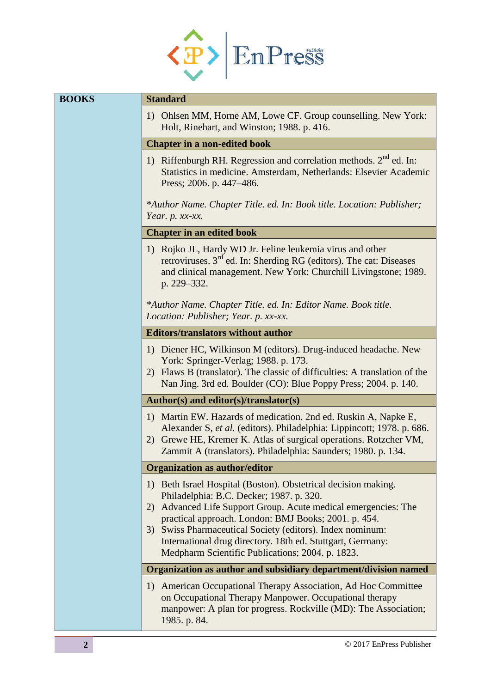

| <b>BOOKS</b> | <b>Standard</b>                                                                                                                                                                                                                                                                                                                                                                                                        |
|--------------|------------------------------------------------------------------------------------------------------------------------------------------------------------------------------------------------------------------------------------------------------------------------------------------------------------------------------------------------------------------------------------------------------------------------|
|              | Ohlsen MM, Horne AM, Lowe CF. Group counselling. New York:<br>1)<br>Holt, Rinehart, and Winston; 1988. p. 416.                                                                                                                                                                                                                                                                                                         |
|              | <b>Chapter in a non-edited book</b>                                                                                                                                                                                                                                                                                                                                                                                    |
|              | 1) Riffenburgh RH. Regression and correlation methods. 2 <sup>nd</sup> ed. In:<br>Statistics in medicine. Amsterdam, Netherlands: Elsevier Academic<br>Press; 2006. p. 447-486.                                                                                                                                                                                                                                        |
|              | *Author Name. Chapter Title. ed. In: Book title. Location: Publisher;<br>Year. $p. xx-xx.$                                                                                                                                                                                                                                                                                                                             |
|              | <b>Chapter in an edited book</b>                                                                                                                                                                                                                                                                                                                                                                                       |
|              | 1) Rojko JL, Hardy WD Jr. Feline leukemia virus and other<br>retroviruses. 3 <sup>rd</sup> ed. In: Sherding RG (editors). The cat: Diseases<br>and clinical management. New York: Churchill Livingstone; 1989.<br>p. 229-332.                                                                                                                                                                                          |
|              | *Author Name. Chapter Title. ed. In: Editor Name. Book title.<br>Location: Publisher; Year. p. xx-xx.                                                                                                                                                                                                                                                                                                                  |
|              | <b>Editors/translators without author</b>                                                                                                                                                                                                                                                                                                                                                                              |
|              | 1) Diener HC, Wilkinson M (editors). Drug-induced headache. New<br>York: Springer-Verlag; 1988. p. 173.<br>2) Flaws B (translator). The classic of difficulties: A translation of the<br>Nan Jing. 3rd ed. Boulder (CO): Blue Poppy Press; 2004. p. 140.                                                                                                                                                               |
|              | Author(s) and editor(s)/translator(s)                                                                                                                                                                                                                                                                                                                                                                                  |
|              | 1) Martin EW. Hazards of medication. 2nd ed. Ruskin A, Napke E,<br>Alexander S, et al. (editors). Philadelphia: Lippincott; 1978. p. 686.<br>Grewe HE, Kremer K. Atlas of surgical operations. Rotzcher VM,<br>2)<br>Zammit A (translators). Philadelphia: Saunders; 1980. p. 134.                                                                                                                                     |
|              | <b>Organization as author/editor</b>                                                                                                                                                                                                                                                                                                                                                                                   |
|              | 1) Beth Israel Hospital (Boston). Obstetrical decision making.<br>Philadelphia: B.C. Decker; 1987. p. 320.<br>Advanced Life Support Group. Acute medical emergencies: The<br>2)<br>practical approach. London: BMJ Books; 2001. p. 454.<br>3) Swiss Pharmaceutical Society (editors). Index nominum:<br>International drug directory. 18th ed. Stuttgart, Germany:<br>Medpharm Scientific Publications; 2004. p. 1823. |
|              | Organization as author and subsidiary department/division named                                                                                                                                                                                                                                                                                                                                                        |
|              | 1) American Occupational Therapy Association, Ad Hoc Committee<br>on Occupational Therapy Manpower. Occupational therapy<br>manpower: A plan for progress. Rockville (MD): The Association;<br>1985. p. 84.                                                                                                                                                                                                            |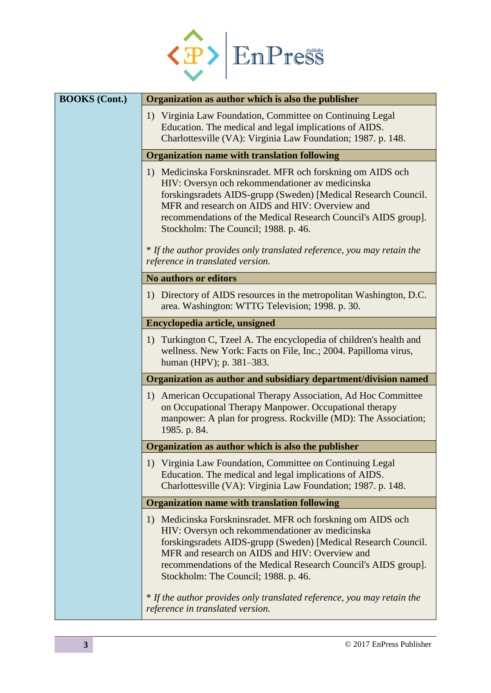

| <b>BOOKS</b> (Cont.) | Organization as author which is also the publisher                                                                                                                                                                                                                                                                                           |
|----------------------|----------------------------------------------------------------------------------------------------------------------------------------------------------------------------------------------------------------------------------------------------------------------------------------------------------------------------------------------|
|                      | 1) Virginia Law Foundation, Committee on Continuing Legal<br>Education. The medical and legal implications of AIDS.<br>Charlottesville (VA): Virginia Law Foundation; 1987. p. 148.                                                                                                                                                          |
|                      | <b>Organization name with translation following</b>                                                                                                                                                                                                                                                                                          |
|                      | 1) Medicinska Forskninsradet. MFR och forskning om AIDS och<br>HIV: Oversyn och rekommendationer av medicinska<br>forskingsradets AIDS-grupp (Sweden) [Medical Research Council.<br>MFR and research on AIDS and HIV: Overview and<br>recommendations of the Medical Research Council's AIDS group].<br>Stockholm: The Council; 1988. p. 46. |
|                      | * If the author provides only translated reference, you may retain the<br>reference in translated version.                                                                                                                                                                                                                                   |
|                      | <b>No authors or editors</b>                                                                                                                                                                                                                                                                                                                 |
|                      | 1) Directory of AIDS resources in the metropolitan Washington, D.C.<br>area. Washington: WTTG Television; 1998. p. 30.                                                                                                                                                                                                                       |
|                      | Encyclopedia article, unsigned                                                                                                                                                                                                                                                                                                               |
|                      | 1) Turkington C, Tzeel A. The encyclopedia of children's health and<br>wellness. New York: Facts on File, Inc.; 2004. Papilloma virus,<br>human (HPV); p. 381–383.                                                                                                                                                                           |
|                      | Organization as author and subsidiary department/division named                                                                                                                                                                                                                                                                              |
|                      | 1) American Occupational Therapy Association, Ad Hoc Committee<br>on Occupational Therapy Manpower. Occupational therapy<br>manpower: A plan for progress. Rockville (MD): The Association;<br>1985. p. 84.                                                                                                                                  |
|                      | Organization as author which is also the publisher                                                                                                                                                                                                                                                                                           |
|                      | 1) Virginia Law Foundation, Committee on Continuing Legal<br>Education. The medical and legal implications of AIDS.<br>Charlottesville (VA): Virginia Law Foundation; 1987. p. 148.                                                                                                                                                          |
|                      | <b>Organization name with translation following</b>                                                                                                                                                                                                                                                                                          |
|                      | 1) Medicinska Forskninsradet. MFR och forskning om AIDS och<br>HIV: Oversyn och rekommendationer av medicinska<br>forskingsradets AIDS-grupp (Sweden) [Medical Research Council.<br>MFR and research on AIDS and HIV: Overview and<br>recommendations of the Medical Research Council's AIDS group].<br>Stockholm: The Council; 1988. p. 46. |
|                      | * If the author provides only translated reference, you may retain the<br>reference in translated version.                                                                                                                                                                                                                                   |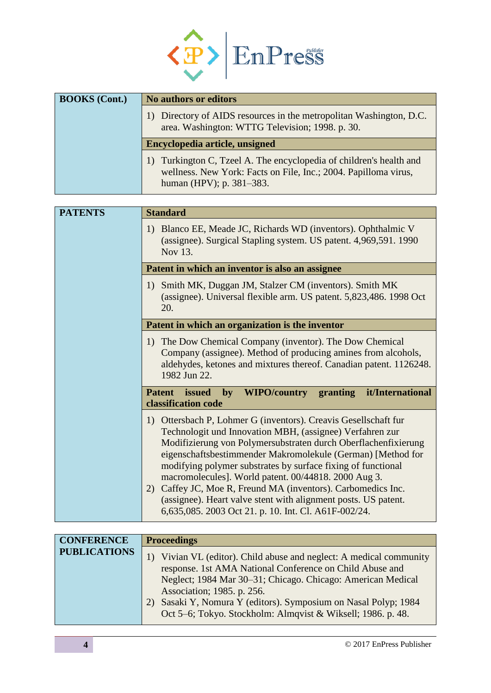

| <b>BOOKS</b> (Cont.) | <b>No authors or editors</b>                                                                                                                                       |
|----------------------|--------------------------------------------------------------------------------------------------------------------------------------------------------------------|
|                      | 1) Directory of AIDS resources in the metropolitan Washington, D.C.<br>area. Washington: WTTG Television; 1998. p. 30.                                             |
|                      | Encyclopedia article, unsigned                                                                                                                                     |
|                      | 1) Turkington C, Tzeel A. The encyclopedia of children's health and<br>wellness. New York: Facts on File, Inc.; 2004. Papilloma virus,<br>human (HPV); p. 381–383. |

| <b>PATENTS</b> | <b>Standard</b>                                                                                                                                                                                                                                                                                                                                                                                                                                                                                                                                                                       |  |
|----------------|---------------------------------------------------------------------------------------------------------------------------------------------------------------------------------------------------------------------------------------------------------------------------------------------------------------------------------------------------------------------------------------------------------------------------------------------------------------------------------------------------------------------------------------------------------------------------------------|--|
|                | 1) Blanco EE, Meade JC, Richards WD (inventors). Ophthalmic V<br>(assignee). Surgical Stapling system. US patent. 4,969,591. 1990<br>Nov 13.                                                                                                                                                                                                                                                                                                                                                                                                                                          |  |
|                | Patent in which an inventor is also an assignee                                                                                                                                                                                                                                                                                                                                                                                                                                                                                                                                       |  |
|                | Smith MK, Duggan JM, Stalzer CM (inventors). Smith MK<br>1)<br>(assignee). Universal flexible arm. US patent. 5,823,486. 1998 Oct<br>20.                                                                                                                                                                                                                                                                                                                                                                                                                                              |  |
|                | Patent in which an organization is the inventor                                                                                                                                                                                                                                                                                                                                                                                                                                                                                                                                       |  |
|                | 1) The Dow Chemical Company (inventor). The Dow Chemical<br>Company (assignee). Method of producing amines from alcohols,<br>aldehydes, ketones and mixtures thereof. Canadian patent. 1126248.<br>1982 Jun 22.                                                                                                                                                                                                                                                                                                                                                                       |  |
|                | WIPO/country granting<br><b>Patent</b><br>issued<br>it/International<br>by<br>classification code                                                                                                                                                                                                                                                                                                                                                                                                                                                                                     |  |
|                | Ottersbach P, Lohmer G (inventors). Creavis Gesellschaft fur<br>1)<br>Technologit und Innovation MBH, (assignee) Verfahren zur<br>Modifizierung von Polymersubstraten durch Oberflachenfixierung<br>eigenschaftsbestimmender Makromolekule (German) [Method for<br>modifying polymer substrates by surface fixing of functional<br>macromolecules]. World patent. 00/44818. 2000 Aug 3.<br>Caffey JC, Moe R, Freund MA (inventors). Carbomedics Inc.<br>(2)<br>(assignee). Heart valve stent with alignment posts. US patent.<br>6,635,085. 2003 Oct 21. p. 10. Int. Cl. A61F-002/24. |  |

| <b>CONFERENCE</b>   | <b>Proceedings</b>                                                                                                                                                                                                                                                                                                                                                |
|---------------------|-------------------------------------------------------------------------------------------------------------------------------------------------------------------------------------------------------------------------------------------------------------------------------------------------------------------------------------------------------------------|
| <b>PUBLICATIONS</b> | 1) Vivian VL (editor). Child abuse and neglect: A medical community<br>response. 1st AMA National Conference on Child Abuse and<br>Neglect; 1984 Mar 30–31; Chicago. Chicago: American Medical<br>Association; 1985. p. 256.<br>Sasaki Y, Nomura Y (editors). Symposium on Nasal Polyp; 1984<br>2)<br>Oct 5–6; Tokyo. Stockholm: Almqvist & Wiksell; 1986. p. 48. |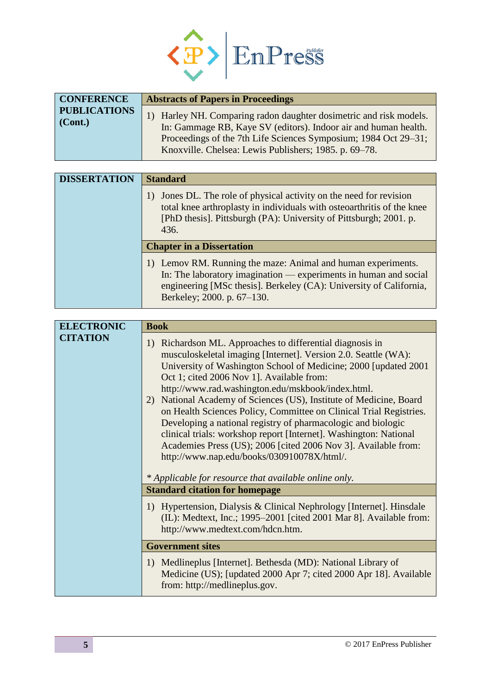

| <b>CONFERENCE</b>                      | <b>Abstracts of Papers in Proceedings</b>                                                                                                                                                                                                                         |
|----------------------------------------|-------------------------------------------------------------------------------------------------------------------------------------------------------------------------------------------------------------------------------------------------------------------|
| <b>PUBLICATIONS</b><br>$\vert$ (Cont.) | 1) Harley NH. Comparing radon daughter dosimetric and risk models.<br>In: Gammage RB, Kaye SV (editors). Indoor air and human health.<br>Proceedings of the 7th Life Sciences Symposium; 1984 Oct 29–31;<br>Knoxville. Chelsea: Lewis Publishers; 1985. p. 69–78. |

| <b>DISSERTATION</b> | <b>Standard</b>                                                                                                                                                                                                                      |  |
|---------------------|--------------------------------------------------------------------------------------------------------------------------------------------------------------------------------------------------------------------------------------|--|
|                     | Jones DL. The role of physical activity on the need for revision<br>total knee arthroplasty in individuals with osteoarthritis of the knee<br>[PhD thesis]. Pittsburgh (PA): University of Pittsburgh; 2001. p.<br>436.              |  |
|                     | <b>Chapter in a Dissertation</b>                                                                                                                                                                                                     |  |
|                     | 1) Lemov RM. Running the maze: Animal and human experiments.<br>In: The laboratory imagination — experiments in human and social<br>engineering [MSc thesis]. Berkeley (CA): University of California,<br>Berkeley; 2000. p. 67-130. |  |

| <b>ELECTRONIC</b>       | <b>Book</b>                                                                                                                                                                                                                                                                                                                                                                                                                                                                                                                                                                                                                                                                                       |
|-------------------------|---------------------------------------------------------------------------------------------------------------------------------------------------------------------------------------------------------------------------------------------------------------------------------------------------------------------------------------------------------------------------------------------------------------------------------------------------------------------------------------------------------------------------------------------------------------------------------------------------------------------------------------------------------------------------------------------------|
| <b>CITATION</b>         | 1) Richardson ML. Approaches to differential diagnosis in<br>musculoskeletal imaging [Internet]. Version 2.0. Seattle (WA):<br>University of Washington School of Medicine; 2000 [updated 2001<br>Oct 1; cited 2006 Nov 1]. Available from:<br>http://www.rad.washington.edu/mskbook/index.html.<br>2) National Academy of Sciences (US), Institute of Medicine, Board<br>on Health Sciences Policy, Committee on Clinical Trial Registries.<br>Developing a national registry of pharmacologic and biologic<br>clinical trials: workshop report [Internet]. Washington: National<br>Academies Press (US); 2006 [cited 2006 Nov 3]. Available from:<br>http://www.nap.edu/books/030910078X/html/. |
|                         | * Applicable for resource that available online only.                                                                                                                                                                                                                                                                                                                                                                                                                                                                                                                                                                                                                                             |
| <b>Government sites</b> | <b>Standard citation for homepage</b>                                                                                                                                                                                                                                                                                                                                                                                                                                                                                                                                                                                                                                                             |
|                         | 1) Hypertension, Dialysis & Clinical Nephrology [Internet]. Hinsdale<br>(IL): Medtext, Inc.; 1995–2001 [cited 2001 Mar 8]. Available from:<br>http://www.medtext.com/hdcn.htm.                                                                                                                                                                                                                                                                                                                                                                                                                                                                                                                    |
|                         |                                                                                                                                                                                                                                                                                                                                                                                                                                                                                                                                                                                                                                                                                                   |
|                         | 1) Medlineplus [Internet]. Bethesda (MD): National Library of<br>Medicine (US); [updated 2000 Apr 7; cited 2000 Apr 18]. Available<br>from: http://medlineplus.gov.                                                                                                                                                                                                                                                                                                                                                                                                                                                                                                                               |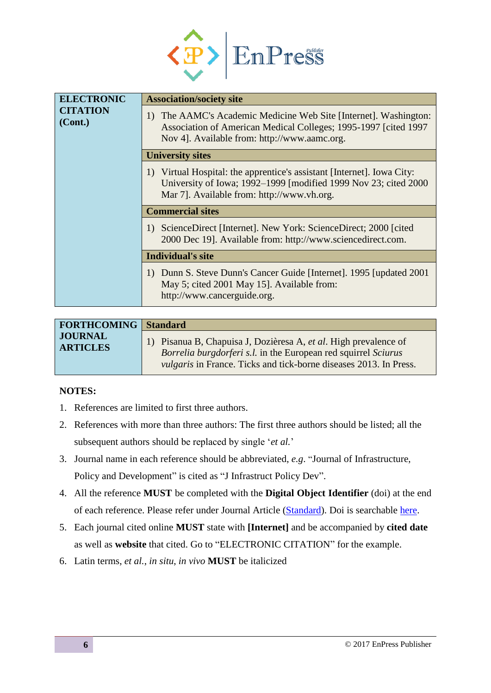

| <b>ELECTRONIC</b>          | <b>Association/society site</b>                                                                                                                                                         |
|----------------------------|-----------------------------------------------------------------------------------------------------------------------------------------------------------------------------------------|
| <b>CITATION</b><br>(Cont.) | 1) The AAMC's Academic Medicine Web Site [Internet]. Washington:<br>Association of American Medical Colleges; 1995-1997 [cited 1997]<br>Nov 4]. Available from: http://www.aamc.org.    |
|                            | <b>University sites</b>                                                                                                                                                                 |
|                            | 1) Virtual Hospital: the apprentice's assistant [Internet]. Iowa City:<br>University of Iowa; 1992-1999 [modified 1999 Nov 23; cited 2000<br>Mar 7]. Available from: http://www.vh.org. |
|                            | <b>Commercial sites</b>                                                                                                                                                                 |
|                            | 1) ScienceDirect [Internet]. New York: ScienceDirect; 2000 [cited]<br>2000 Dec 19]. Available from: http://www.sciencedirect.com.                                                       |
|                            | <b>Individual's site</b>                                                                                                                                                                |
|                            | 1) Dunn S. Steve Dunn's Cancer Guide [Internet]. 1995 [updated 2001]<br>May 5; cited 2001 May 15]. Available from:<br>http://www.cancerguide.org.                                       |

| <b>FORTHCOMING</b>   Standard     |                                                                                                                                                                                                             |
|-----------------------------------|-------------------------------------------------------------------------------------------------------------------------------------------------------------------------------------------------------------|
| <b>JOURNAL</b><br><b>ARTICLES</b> | Pisanua B, Chapuisa J, Dozièresa A, et al. High prevalence of<br>Borrelia burgdorferi s.l. in the European red squirrel Sciurus<br><i>vulgaris</i> in France. Ticks and tick-borne diseases 2013. In Press. |

## **NOTES:**

- 1. References are limited to first three authors.
- 2. References with more than three authors: The first three authors should be listed; all the subsequent authors should be replaced by single '*et al.*'
- 3. Journal name in each reference should be abbreviated, *e.g*. "Journal of Infrastructure, Policy and Development" is cited as "J Infrastruct Policy Dev".
- 4. All the reference **MUST** be completed with the **Digital Object Identifier** (doi) at the end of each reference. Please refer under Journal Article [\(Standard\)](#page-0-0). Doi is searchable [here.](http://www.crossref.org/simpleTextQuery)
- 5. Each journal cited online **MUST** state with **[Internet]** and be accompanied by **cited date** as well as **website** that cited. Go to "ELECTRONIC CITATION" for the example.
- 6. Latin terms, *et al.*, *in situ*, *in vivo* **MUST** be italicized